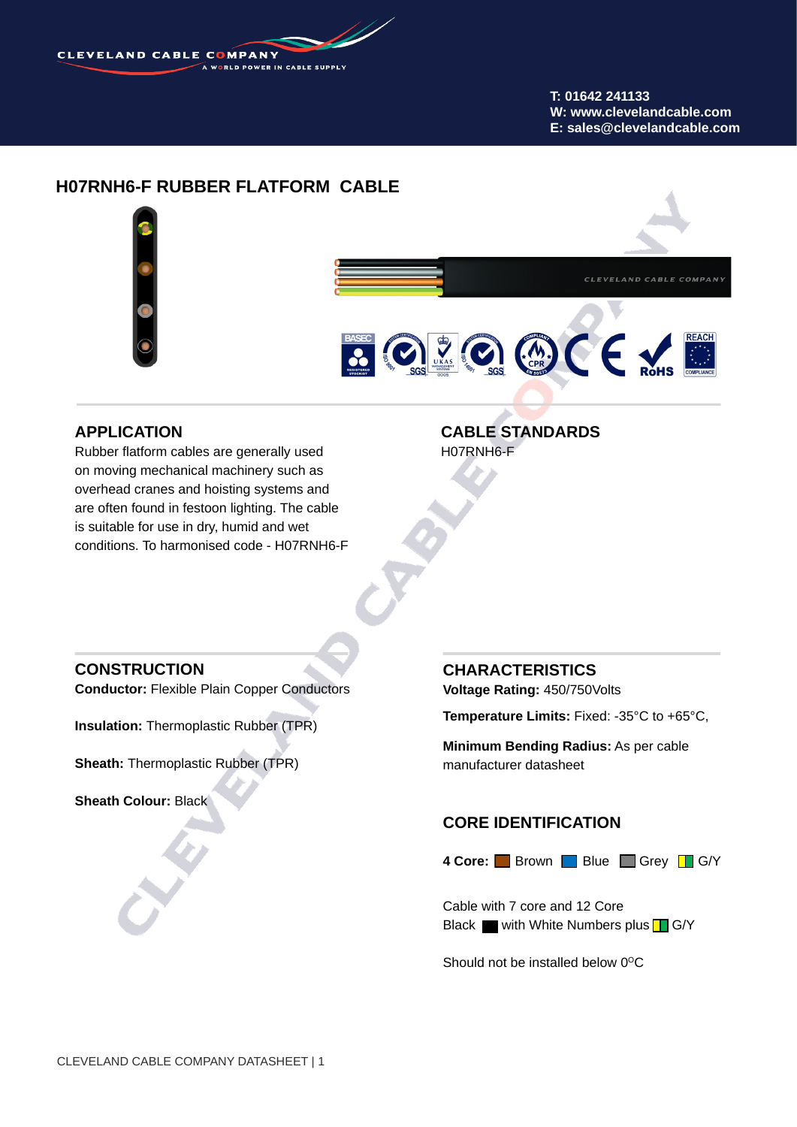

#### **T: 01642 241133 W: www.clevelandcable.com E: sales@clevelandcable.com**

# **H07RNH6-F RUBBER FLATFORM CABLE**



## **APPLICATION**

Rubber flatform cables are generally used on moving mechanical machinery such as overhead cranes and hoisting systems and are often found in festoon lighting. The cable is suitable for use in dry, humid and wet conditions. To harmonised code - H07RNH6-F

### **CABLE STANDARDS** H07RNH6-F

## **CONSTRUCTION**

**Conductor:** Flexible Plain Copper Conductors

**Insulation:** Thermoplastic Rubber (TPR)

**Sheath:** Thermoplastic Rubber (TPR)

**Sheath Colour:** Black

## **CHARACTERISTICS**

**Voltage Rating:** 450/750Volts

**Temperature Limits:** Fixed: -35°C to +65°C,

**Minimum Bending Radius:** As per cable manufacturer datasheet

#### **CORE IDENTIFICATION**

4 Core: Brown Blue Grey G/Y

Cable with 7 core and 12 Core Black with White Numbers plus  $\Box$  G/Y

Should not be installed below  $0^{\circ}$ C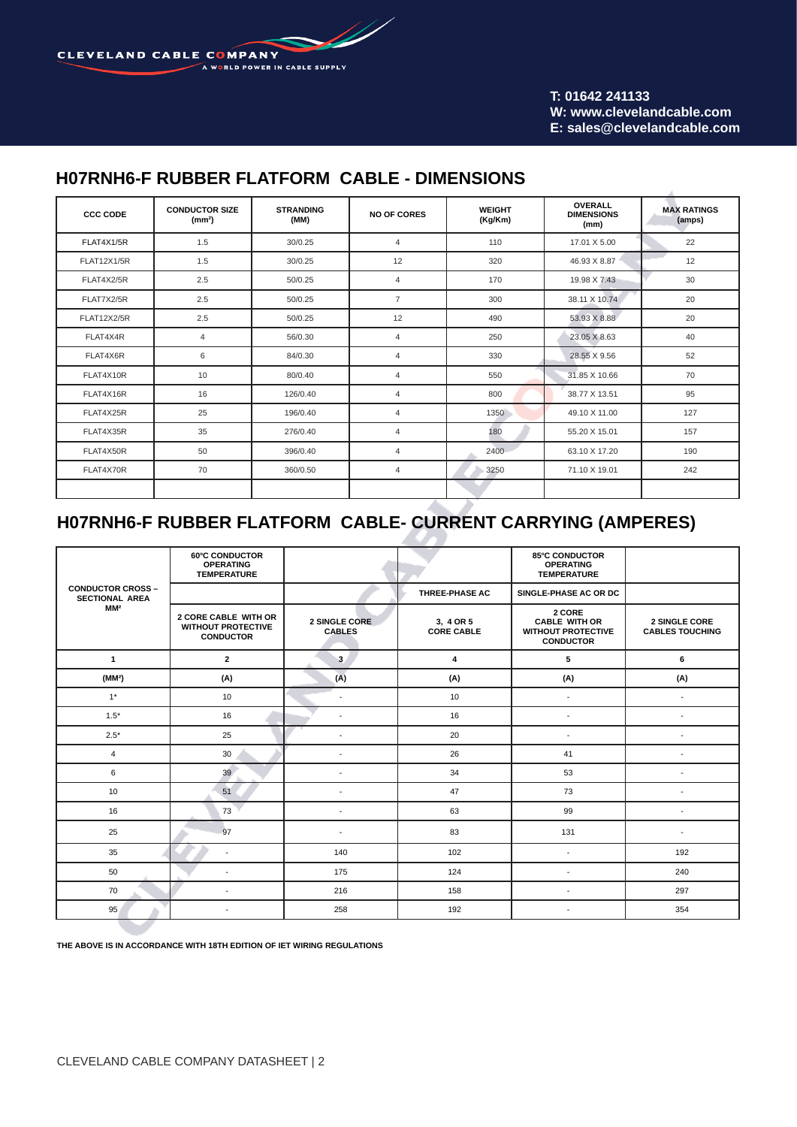<u>S</u> CLEVELAND CABLE COMPANY A WORLD POWER IN CABLE SUPPLY

#### **T: 01642 241133 W: www.clevelandcable.com E: sales@clevelandcable.com**

# **H07RNH6-F RUBBER FLATFORM CABLE - DIMENSIONS**

| <b>CCC CODE</b>    | <b>CONDUCTOR SIZE</b><br>(mm <sup>2</sup> ) | <b>STRANDING</b><br>(MM) | <b>NO OF CORES</b> | <b>WEIGHT</b><br>(Kg/Km) | <b>OVERALL</b><br><b>DIMENSIONS</b><br>(mm) | <b>MAX RATINGS</b><br>(amps) |
|--------------------|---------------------------------------------|--------------------------|--------------------|--------------------------|---------------------------------------------|------------------------------|
| FLAT4X1/5R         | 1.5                                         | 30/0.25                  | $\overline{4}$     | 110                      | 17.01 X 5.00                                | 22                           |
| <b>FLAT12X1/5R</b> | 1.5                                         | 30/0.25                  | 12                 | 320                      | 46.93 X 8.87                                | 12                           |
| FLAT4X2/5R         | 2.5                                         | 50/0.25                  | $\overline{4}$     | 170                      | 19.98 X 7.43                                | 30                           |
| FLAT7X2/5R         | 2.5                                         | 50/0.25                  | $\overline{7}$     | 300                      | 38.11 X 10.74                               | 20                           |
| <b>FLAT12X2/5R</b> | 2.5                                         | 50/0.25                  | 12                 | 490                      | 53.93 X 8.88                                | 20                           |
| FLAT4X4R           | 4                                           | 56/0.30                  | 4                  | 250                      | 23.05 X 8.63                                | 40                           |
| FLAT4X6R           | 6                                           | 84/0.30                  | 4                  | 330                      | 28.55 X 9.56                                | 52                           |
| FLAT4X10R          | 10                                          | 80/0.40                  | $\overline{4}$     | 550                      | 31.85 X 10.66                               | 70                           |
| FLAT4X16R          | 16                                          | 126/0.40                 | $\overline{4}$     | 800                      | 38.77 X 13.51                               | 95                           |
| FLAT4X25R          | 25                                          | 196/0.40                 | 4                  | 1350                     | 49.10 X 11.00                               | 127                          |
| FLAT4X35R          | 35                                          | 276/0.40                 | 4                  | 180                      | 55.20 X 15.01                               | 157                          |
| FLAT4X50R          | 50                                          | 396/0.40                 | $\overline{4}$     | 2400                     | 63.10 X 17.20                               | 190                          |
| FLAT4X70R          | 70                                          | 360/0.50                 | 4                  | 3250                     | 71.10 X 19.01                               | 242                          |
|                    |                                             |                          |                    |                          |                                             |                              |

# **H07RNH6-F RUBBER FLATFORM CABLE- CURRENT CARRYING (AMPERES)**

|                                                   | <b>60°C CONDUCTOR</b><br><b>OPERATING</b><br><b>TEMPERATURE</b>       |                                |                                | <b>85°C CONDUCTOR</b><br><b>OPERATING</b><br><b>TEMPERATURE</b>                 |                                         |  |
|---------------------------------------------------|-----------------------------------------------------------------------|--------------------------------|--------------------------------|---------------------------------------------------------------------------------|-----------------------------------------|--|
| <b>CONDUCTOR CROSS -</b><br><b>SECTIONAL AREA</b> |                                                                       |                                | THREE-PHASE AC                 | SINGLE-PHASE AC OR DC                                                           |                                         |  |
| MM <sup>2</sup>                                   | 2 CORE CABLE WITH OR<br><b>WITHOUT PROTECTIVE</b><br><b>CONDUCTOR</b> | 2 SINGLE CORE<br><b>CABLES</b> | 3, 4 OR 5<br><b>CORE CABLE</b> | 2 CORE<br><b>CABLE WITH OR</b><br><b>WITHOUT PROTECTIVE</b><br><b>CONDUCTOR</b> | 2 SINGLE CORE<br><b>CABLES TOUCHING</b> |  |
| $\mathbf{1}$                                      | $\overline{2}$                                                        | 3                              | 4                              | 5                                                                               | 6                                       |  |
| (MM <sup>2</sup> )                                | (A)                                                                   | (A)                            | (A)                            | (A)                                                                             | (A)                                     |  |
| $1*$                                              | 10                                                                    | $\overline{\phantom{a}}$       | 10                             | $\sim$                                                                          | $\blacksquare$                          |  |
| $1.5*$                                            | 16                                                                    | $\overline{a}$                 | 16                             | $\blacksquare$                                                                  | $\blacksquare$                          |  |
| $2.5*$                                            | 25                                                                    | $\blacksquare$                 | 20                             | $\blacksquare$                                                                  | $\overline{a}$                          |  |
| $\overline{4}$                                    | 30                                                                    | ÷.                             | 26                             | 41                                                                              |                                         |  |
| $\,6$                                             | 39                                                                    | $\overline{a}$                 | 34                             | 53                                                                              |                                         |  |
| 10                                                | 51                                                                    | $\overline{a}$                 | 47                             | 73                                                                              |                                         |  |
| 16                                                | 73                                                                    | $\overline{a}$                 | 63                             | 99                                                                              | $\overline{\phantom{a}}$                |  |
| 25                                                | 97                                                                    | ÷.                             | 83                             | 131                                                                             |                                         |  |
| 35                                                | ٠                                                                     | 140                            | 102                            | ÷,                                                                              | 192                                     |  |
| 50                                                | $\blacksquare$                                                        | 175                            | 124                            | ÷,                                                                              | 240                                     |  |
| 70                                                | $\blacksquare$                                                        | 216                            | 158                            | $\omega$                                                                        | 297                                     |  |
| 95                                                | $\sim$                                                                | 258                            | 192                            | $\blacksquare$                                                                  | 354                                     |  |

**THE ABOVE IS IN ACCORDANCE WITH 18TH EDITION OF IET WIRING REGULATIONS**